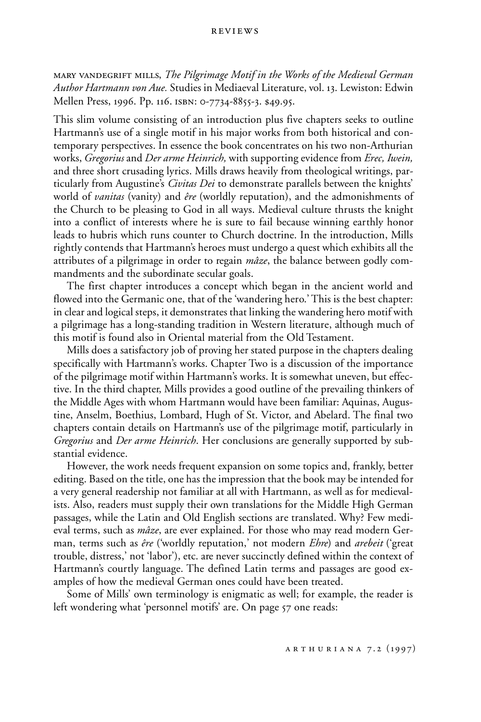## reviews

mary vandegrift mills, *The Pilgrimage Motif in the Works of the Medieval German Author Hartmann von Aue.* Studies in Mediaeval Literature, vol. 13. Lewiston: Edwin Mellen Press, 1996. Pp. 116. isbn: 0-7734-8855-3. \$49.95.

This slim volume consisting of an introduction plus five chapters seeks to outline Hartmann's use of a single motif in his major works from both historical and contemporary perspectives. In essence the book concentrates on his two non-Arthurian works, *Gregorius* and *Der arme Heinrich,* with supporting evidence from *Erec, Iwein,* and three short crusading lyrics. Mills draws heavily from theological writings, particularly from Augustine's *Civitas Dei* to demonstrate parallels between the knights' world of *vanitas* (vanity) and *êre* (worldly reputation), and the admonishments of the Church to be pleasing to God in all ways. Medieval culture thrusts the knight into a conflict of interests where he is sure to fail because winning earthly honor leads to hubris which runs counter to Church doctrine. In the introduction, Mills rightly contends that Hartmann's heroes must undergo a quest which exhibits all the attributes of a pilgrimage in order to regain *mâze*, the balance between godly commandments and the subordinate secular goals.

The first chapter introduces a concept which began in the ancient world and flowed into the Germanic one, that of the 'wandering hero.' This is the best chapter: in clear and logical steps, it demonstrates that linking the wandering hero motif with a pilgrimage has a long-standing tradition in Western literature, although much of this motif is found also in Oriental material from the Old Testament.

Mills does a satisfactory job of proving her stated purpose in the chapters dealing specifically with Hartmann's works. Chapter Two is a discussion of the importance of the pilgrimage motif within Hartmann's works. It is somewhat uneven, but effective. In the third chapter, Mills provides a good outline of the prevailing thinkers of the Middle Ages with whom Hartmann would have been familiar: Aquinas, Augustine, Anselm, Boethius, Lombard, Hugh of St. Victor, and Abelard. The final two chapters contain details on Hartmann's use of the pilgrimage motif, particularly in *Gregorius* and *Der arme Heinrich*. Her conclusions are generally supported by substantial evidence.

However, the work needs frequent expansion on some topics and, frankly, better editing. Based on the title, one has the impression that the book may be intended for a very general readership not familiar at all with Hartmann, as well as for medievalists. Also, readers must supply their own translations for the Middle High German passages, while the Latin and Old English sections are translated. Why? Few medieval terms, such as *mâze*, are ever explained. For those who may read modern German, terms such as *êre* ('worldly reputation,' not modern *Ehre*) and *arebeit* ('great trouble, distress,' not 'labor'), etc. are never succinctly defined within the context of Hartmann's courtly language. The defined Latin terms and passages are good examples of how the medieval German ones could have been treated.

Some of Mills' own terminology is enigmatic as well; for example, the reader is left wondering what 'personnel motifs' are. On page 57 one reads: